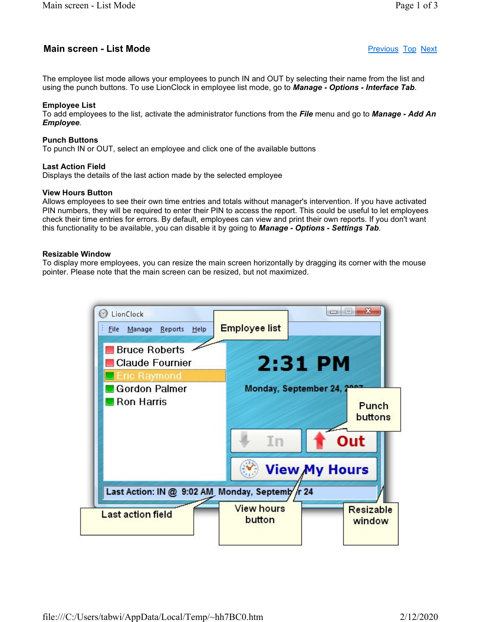# **Main screen - List Mode Previous Top Next Main screen - List Mode**

The employee list mode allows your employees to punch IN and OUT by selecting their name from the list and using the punch buttons. To use LionClock in employee list mode, go to **Manage - Options - Interface Tab**.

# Employee List

To add employees to the list, activate the administrator functions from the File menu and go to Manage - Add An Employee.

# Punch Buttons

To punch IN or OUT, select an employee and click one of the available buttons

# Last Action Field

Displays the details of the last action made by the selected employee

# View Hours Button

Allows employees to see their own time entries and totals without manager's intervention. If you have activated PIN numbers, they will be required to enter their PIN to access the report. This could be useful to let employees check their time entries for errors. By default, employees can view and print their own reports. If you don't want this functionality to be available, you can disable it by going to **Manage - Options - Settings Tab**.

# Resizable Window

To display more employees, you can resize the main screen horizontally by dragging its corner with the mouse pointer. Please note that the main screen can be resized, but not maximized.

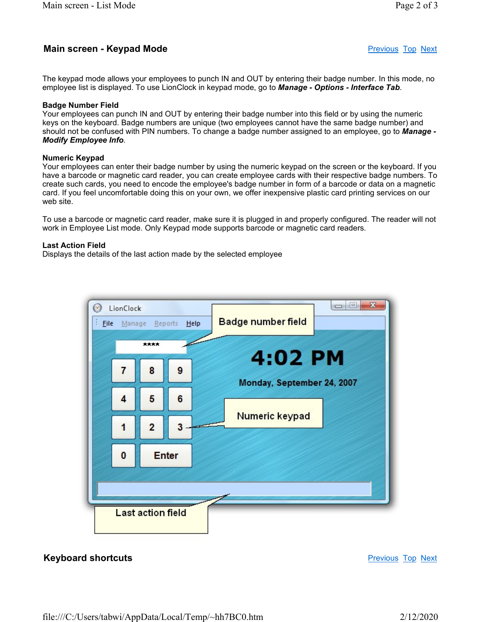# Main screen - Keypad Mode **Previous Top Next** Previous Top Next

The keypad mode allows your employees to punch IN and OUT by entering their badge number. In this mode, no employee list is displayed. To use LionClock in keypad mode, go to **Manage - Options - Interface Tab**.

#### Badge Number Field

Your employees can punch IN and OUT by entering their badge number into this field or by using the numeric keys on the keyboard. Badge numbers are unique (two employees cannot have the same badge number) and should not be confused with PIN numbers. To change a badge number assigned to an employee, go to Manage -Modify Employee Info.

## Numeric Keypad

Your employees can enter their badge number by using the numeric keypad on the screen or the keyboard. If you have a barcode or magnetic card reader, you can create employee cards with their respective badge numbers. To create such cards, you need to encode the employee's badge number in form of a barcode or data on a magnetic card. If you feel uncomfortable doing this on your own, we offer inexpensive plastic card printing services on our web site.

To use a barcode or magnetic card reader, make sure it is plugged in and properly configured. The reader will not work in Employee List mode. Only Keypad mode supports barcode or magnetic card readers.

## Last Action Field

Displays the details of the last action made by the selected employee



# **Keyboard shortcuts Previous Top Next Accord Shortcuts** Previous Top Next